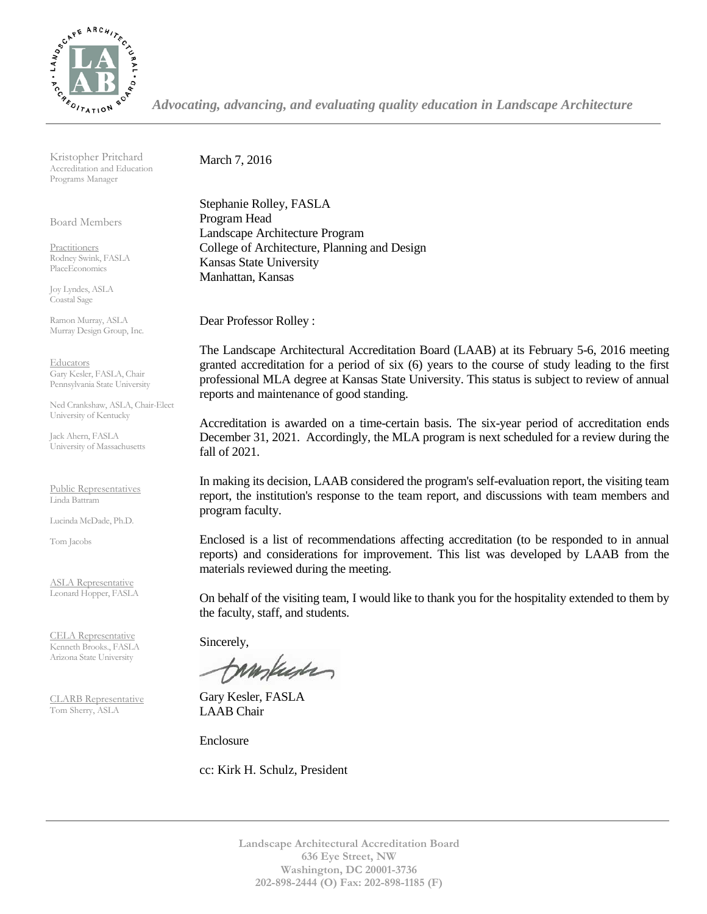

*Advocating, advancing, and evaluating quality education in Landscape Architecture*

Kristopher Pritchard Accreditation and Education Programs Manager

Board Members

Practitioners Rodney Swink, FASLA PlaceEconomics

Joy Lyndes, ASLA Coastal Sage

Ramon Murray, ASLA Murray Design Group, Inc.

Educators Gary Kesler, FASLA, Chair Pennsylvania State University

Ned Crankshaw, ASLA, Chair-Elect University of Kentucky

Jack Ahern, FASLA University of Massachusetts

Public Representatives Linda Battram

Lucinda McDade, Ph.D.

Tom Jacobs

ASLA Representative Leonard Hopper, FASLA

CELA Representative Kenneth Brooks., FASLA Arizona State University

CLARB Representative Tom Sherry, ASLA

March 7, 2016

Stephanie Rolley, FASLA Program Head Landscape Architecture Program College of Architecture, Planning and Design Kansas State University Manhattan, Kansas

Dear Professor Rolley :

The Landscape Architectural Accreditation Board (LAAB) at its February 5-6, 2016 meeting granted accreditation for a period of six (6) years to the course of study leading to the first professional MLA degree at Kansas State University. This status is subject to review of annual reports and maintenance of good standing.

Accreditation is awarded on a time-certain basis. The six-year period of accreditation ends December 31, 2021. Accordingly, the MLA program is next scheduled for a review during the fall of 2021.

In making its decision, LAAB considered the program's self-evaluation report, the visiting team report, the institution's response to the team report, and discussions with team members and program faculty.

Enclosed is a list of recommendations affecting accreditation (to be responded to in annual reports) and considerations for improvement. This list was developed by LAAB from the materials reviewed during the meeting.

On behalf of the visiting team, I would like to thank you for the hospitality extended to them by the faculty, staff, and students.

Sincerely,

tampuser

Gary Kesler, FASLA LAAB Chair

Enclosure

cc: Kirk H. Schulz, President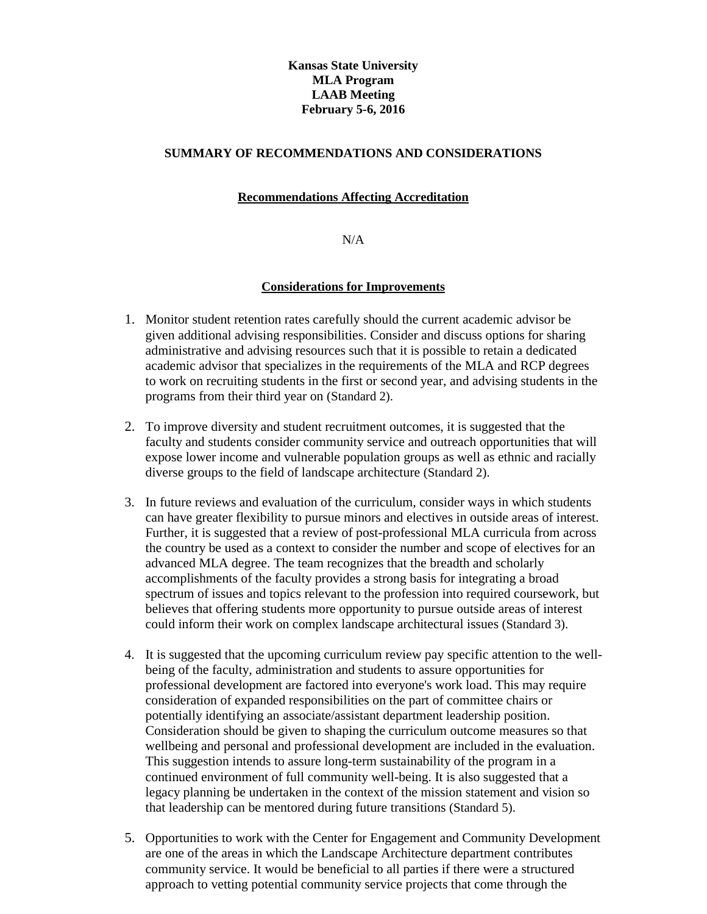# **Kansas State University MLA Program LAAB Meeting February 5-6, 2016**

## **SUMMARY OF RECOMMENDATIONS AND CONSIDERATIONS**

# **Recommendations Affecting Accreditation**

#### N/A

## **Considerations for Improvements**

- 1. Monitor student retention rates carefully should the current academic advisor be given additional advising responsibilities. Consider and discuss options for sharing administrative and advising resources such that it is possible to retain a dedicated academic advisor that specializes in the requirements of the MLA and RCP degrees to work on recruiting students in the first or second year, and advising students in the programs from their third year on (Standard 2).
- 2. To improve diversity and student recruitment outcomes, it is suggested that the faculty and students consider community service and outreach opportunities that will expose lower income and vulnerable population groups as well as ethnic and racially diverse groups to the field of landscape architecture (Standard 2).
- 3. In future reviews and evaluation of the curriculum, consider ways in which students can have greater flexibility to pursue minors and electives in outside areas of interest. Further, it is suggested that a review of post-professional MLA curricula from across the country be used as a context to consider the number and scope of electives for an advanced MLA degree. The team recognizes that the breadth and scholarly accomplishments of the faculty provides a strong basis for integrating a broad spectrum of issues and topics relevant to the profession into required coursework, but believes that offering students more opportunity to pursue outside areas of interest could inform their work on complex landscape architectural issues (Standard 3).
- 4. It is suggested that the upcoming curriculum review pay specific attention to the wellbeing of the faculty, administration and students to assure opportunities for professional development are factored into everyone's work load. This may require consideration of expanded responsibilities on the part of committee chairs or potentially identifying an associate/assistant department leadership position. Consideration should be given to shaping the curriculum outcome measures so that wellbeing and personal and professional development are included in the evaluation. This suggestion intends to assure long-term sustainability of the program in a continued environment of full community well-being. It is also suggested that a legacy planning be undertaken in the context of the mission statement and vision so that leadership can be mentored during future transitions (Standard 5).
- 5. Opportunities to work with the Center for Engagement and Community Development are one of the areas in which the Landscape Architecture department contributes community service. It would be beneficial to all parties if there were a structured approach to vetting potential community service projects that come through the